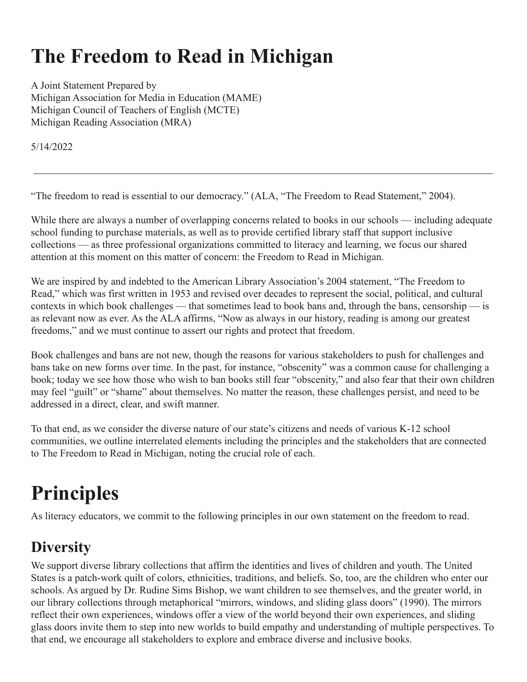# **The Freedom to Read in Michigan**

A Joint Statement Prepared by Michigan Association for Media in Education (MAME) Michigan Council of Teachers of English (MCTE) Michigan Reading Association (MRA)

5/14/2022

"The freedom to read is essential to our democracy." (ALA, "The Freedom to Read Statement," 2004).

While there are always a number of overlapping concerns related to books in our schools — including adequate school funding to purchase materials, as well as to provide certified library staff that support inclusive collections — as three professional organizations committed to literacy and learning, we focus our shared attention at this moment on this matter of concern: the Freedom to Read in Michigan.

We are inspired by and indebted to the American Library Association's 2004 statement, "The Freedom to Read," which was first written in 1953 and revised over decades to represent the social, political, and cultural contexts in which book challenges — that sometimes lead to book bans and, through the bans, censorship — is as relevant now as ever. As the ALA affirms, "Now as always in our history, reading is among our greatest freedoms," and we must continue to assert our rights and protect that freedom.

Book challenges and bans are not new, though the reasons for various stakeholders to push for challenges and bans take on new forms over time. In the past, for instance, "obscenity" was a common cause for challenging a book; today we see how those who wish to ban books still fear "obscenity," and also fear that their own children may feel "guilt" or "shame" about themselves. No matter the reason, these challenges persist, and need to be addressed in a direct, clear, and swift manner.

To that end, as we consider the diverse nature of our state's citizens and needs of various K-12 school communities, we outline interrelated elements including the principles and the stakeholders that are connected to The Freedom to Read in Michigan, noting the crucial role of each.

# **Principles**

As literacy educators, we commit to the following principles in our own statement on the freedom to read.

## **Diversity**

We support diverse library collections that affirm the identities and lives of children and youth. The United States is a patch-work quilt of colors, ethnicities, traditions, and beliefs. So, too, are the children who enter our schools. As argued by Dr. Rudine Sims Bishop, we want children to see themselves, and the greater world, in our library collections through metaphorical "mirrors, windows, and sliding glass doors" (1990). The mirrors reflect their own experiences, windows offer a view of the world beyond their own experiences, and sliding glass doors invite them to step into new worlds to build empathy and understanding of multiple perspectives. To that end, we encourage all stakeholders to explore and embrace diverse and inclusive books.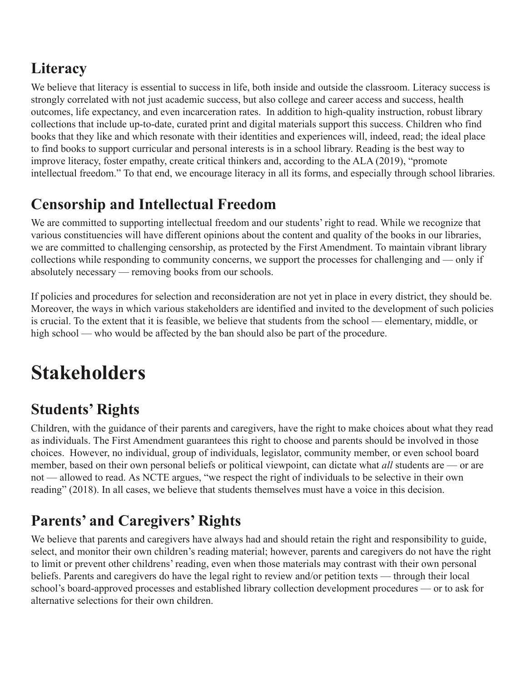## **Literacy**

We believe that literacy is essential to success in life, both inside and outside the classroom. Literacy success is strongly correlated with not just academic success, but also college and career access and success, health outcomes, life expectancy, and even incarceration rates. In addition to high-quality instruction, robust library collections that include up-to-date, curated print and digital materials support this success. Children who find books that they like and which resonate with their identities and experiences will, indeed, read; the ideal place to find books to support curricular and personal interests is in a school library. Reading is the best way to improve literacy, foster empathy, create critical thinkers and, according to the ALA (2019), "promote intellectual freedom." To that end, we encourage literacy in all its forms, and especially through school libraries.

## **Censorship and Intellectual Freedom**

We are committed to supporting intellectual freedom and our students' right to read. While we recognize that various constituencies will have different opinions about the content and quality of the books in our libraries, we are committed to challenging censorship, as protected by the First Amendment. To maintain vibrant library collections while responding to community concerns, we support the processes for challenging and — only if absolutely necessary — removing books from our schools.

If policies and procedures for selection and reconsideration are not yet in place in every district, they should be. Moreover, the ways in which various stakeholders are identified and invited to the development of such policies is crucial. To the extent that it is feasible, we believe that students from the school — elementary, middle, or high school — who would be affected by the ban should also be part of the procedure.

# **Stakeholders**

# **Students' Rights**

Children, with the guidance of their parents and caregivers, have the right to make choices about what they read as individuals. The First Amendment guarantees this right to choose and parents should be involved in those choices. However, no individual, group of individuals, legislator, community member, or even school board member, based on their own personal beliefs or political viewpoint, can dictate what *all* students are — or are not — allowed to read. As NCTE argues, "we respect the right of individuals to be selective in their own reading" (2018). In all cases, we believe that students themselves must have a voice in this decision.

# **Parents' and Caregivers' Rights**

We believe that parents and caregivers have always had and should retain the right and responsibility to guide, select, and monitor their own children's reading material; however, parents and caregivers do not have the right to limit or prevent other childrens' reading, even when those materials may contrast with their own personal beliefs. Parents and caregivers do have the legal right to review and/or petition texts — through their local school's board-approved processes and established library collection development procedures — or to ask for alternative selections for their own children.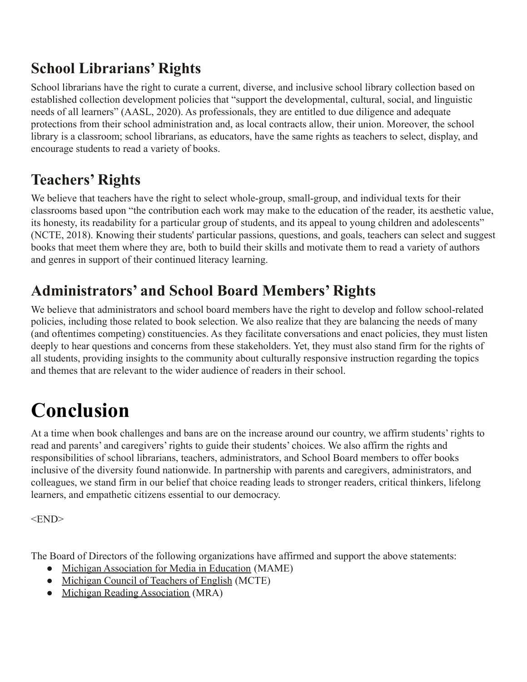## **School Librarians' Rights**

School librarians have the right to curate a current, diverse, and inclusive school library collection based on established collection development policies that "support the developmental, cultural, social, and linguistic needs of all learners" (AASL, 2020). As professionals, they are entitled to due diligence and adequate protections from their school administration and, as local contracts allow, their union. Moreover, the school library is a classroom; school librarians, as educators, have the same rights as teachers to select, display, and encourage students to read a variety of books.

### **Teachers' Rights**

We believe that teachers have the right to select whole-group, small-group, and individual texts for their classrooms based upon "the contribution each work may make to the education of the reader, its aesthetic value, its honesty, its readability for a particular group of students, and its appeal to young children and adolescents" (NCTE, 2018). Knowing their students' particular passions, questions, and goals, teachers can select and suggest books that meet them where they are, both to build their skills and motivate them to read a variety of authors and genres in support of their continued literacy learning.

### **Administrators' and School Board Members' Rights**

We believe that administrators and school board members have the right to develop and follow school-related policies, including those related to book selection. We also realize that they are balancing the needs of many (and oftentimes competing) constituencies. As they facilitate conversations and enact policies, they must listen deeply to hear questions and concerns from these stakeholders. Yet, they must also stand firm for the rights of all students, providing insights to the community about culturally responsive instruction regarding the topics and themes that are relevant to the wider audience of readers in their school.

# **Conclusion**

At a time when book challenges and bans are on the increase around our country, we affirm students' rights to read and parents' and caregivers' rights to guide their students' choices. We also affirm the rights and responsibilities of school librarians, teachers, administrators, and School Board members to offer books inclusive of the diversity found nationwide. In partnership with parents and caregivers, administrators, and colleagues, we stand firm in our belief that choice reading leads to stronger readers, critical thinkers, lifelong learners, and empathetic citizens essential to our democracy.

<END>

The Board of Directors of the following organizations have affirmed and support the above statements:

- [Michigan Association for Media in Education](http://www.mimame.org/) (MAME)
- [Michigan Council of Teachers of English](https://mymcte.org/) (MCTE)
- [Michigan Reading Association](https://michiganreading.org/) (MRA)